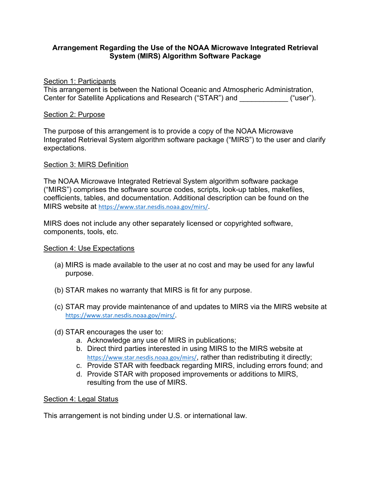# **Arrangement Regarding the Use of the NOAA Microwave Integrated Retrieval System (MIRS) Algorithm Software Package**

### Section 1: Participants

This arrangement is between the National Oceanic and Atmospheric Administration, Center for Satellite Applications and Research ("STAR") and  $($ "user").

#### Section 2: Purpose

The purpose of this arrangement is to provide a copy of the NOAA Microwave Integrated Retrieval System algorithm software package ("MIRS") to the user and clarify expectations.

## Section 3: MIRS Definition

The NOAA Microwave Integrated Retrieval System algorithm software package ("MIRS") comprises the software source codes, scripts, look-up tables, makefiles, coefficients, tables, and documentation. Additional description can be found on the MIRS website at <https://www.star.nesdis.noaa.gov/mirs/>.

MIRS does not include any other separately licensed or copyrighted software, components, tools, etc.

## Section 4: Use Expectations

- (a) MIRS is made available to the user at no cost and may be used for any lawful purpose.
- (b) STAR makes no warranty that MIRS is fit for any purpose.
- (c) STAR may provide maintenance of and updates to MIRS via the MIRS website at <https://www.star.nesdis.noaa.gov/mirs/>.
- (d) STAR encourages the user to:
	- a. Acknowledge any use of MIRS in publications;
	- b. Direct third parties interested in using MIRS to the MIRS website at <https://www.star.nesdis.noaa.gov/mirs/>, rather than redistributing it directly;
	- c. Provide STAR with feedback regarding MIRS, including errors found; and
	- d. Provide STAR with proposed improvements or additions to MIRS, resulting from the use of MIRS.

#### Section 4: Legal Status

This arrangement is not binding under U.S. or international law.